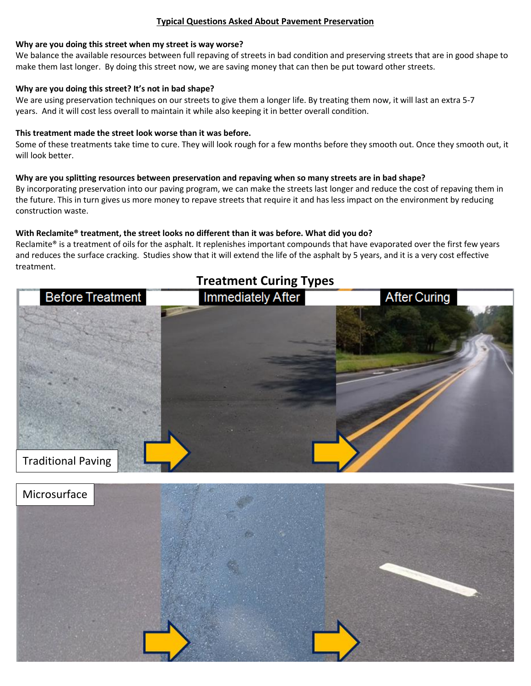#### **Typical Questions Asked About Pavement Preservation**

#### **Why are you doing this street when my street is way worse?**

We balance the available resources between full repaving of streets in bad condition and preserving streets that are in good shape to make them last longer. By doing this street now, we are saving money that can then be put toward other streets.

#### **Why are you doing this street? It's not in bad shape?**

We are using preservation techniques on our streets to give them a longer life. By treating them now, it will last an extra 5-7 years. And it will cost less overall to maintain it while also keeping it in better overall condition.

#### **This treatment made the street look worse than it was before.**

Some of these treatments take time to cure. They will look rough for a few months before they smooth out. Once they smooth out, it will look better.

#### **Why are you splitting resources between preservation and repaving when so many streets are in bad shape?**

By incorporating preservation into our paving program, we can make the streets last longer and reduce the cost of repaving them in the future. This in turn gives us more money to repave streets that require it and has less impact on the environment by reducing construction waste.

#### **With Reclamite® treatment, the street looks no different than it was before. What did you do?**

Reclamite® is a treatment of oils for the asphalt. It replenishes important compounds that have evaporated over the first few years and reduces the surface cracking. Studies show that it will extend the life of the asphalt by 5 years, and it is a very cost effective treatment.

# **Before Treatment Immediately After After Curing** Traditional Paving



## **Treatment Curing Types**